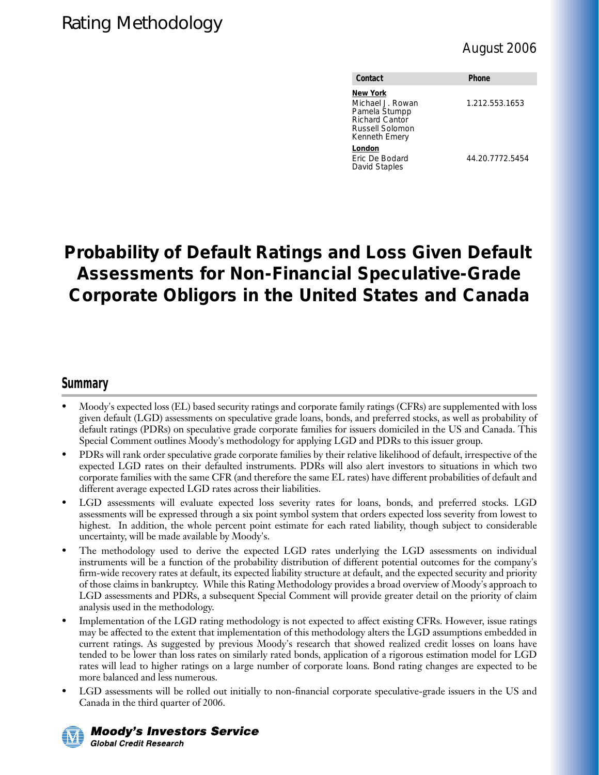| Contact                                                                                                           | <b>Phone</b>    |
|-------------------------------------------------------------------------------------------------------------------|-----------------|
| <b>New York</b><br>Michael J. Rowan<br>Pamela Stumpp<br><b>Richard Cantor</b><br>Russell Solomon<br>Kenneth Emery | 1.212.553.1653  |
| London<br>Eric De Bodard<br>David Staples                                                                         | 44.20.7772.5454 |

## **Probability of Default Ratings and Loss Given Default Assessments for Non-Financial Speculative-Grade Corporate Obligors in the United States and Canada**

## **Summary**

- Moody's expected loss (EL) based security ratings and corporate family ratings (CFRs) are supplemented with loss given default (LGD) assessments on speculative grade loans, bonds, and preferred stocks, as well as probability of default ratings (PDRs) on speculative grade corporate families for issuers domiciled in the US and Canada. This Special Comment outlines Moody's methodology for applying LGD and PDRs to this issuer group.
- PDRs will rank order speculative grade corporate families by their relative likelihood of default, irrespective of the expected LGD rates on their defaulted instruments. PDRs will also alert investors to situations in which two corporate families with the same CFR (and therefore the same EL rates) have different probabilities of default and different average expected LGD rates across their liabilities.
- LGD assessments will evaluate expected loss severity rates for loans, bonds, and preferred stocks. LGD assessments will be expressed through a six point symbol system that orders expected loss severity from lowest to highest. In addition, the whole percent point estimate for each rated liability, though subject to considerable uncertainty, will be made available by Moody's.
- The methodology used to derive the expected LGD rates underlying the LGD assessments on individual instruments will be a function of the probability distribution of different potential outcomes for the company's firm-wide recovery rates at default, its expected liability structure at default, and the expected security and priority of those claims in bankruptcy. While this Rating Methodology provides a broad overview of Moody's approach to LGD assessments and PDRs, a subsequent Special Comment will provide greater detail on the priority of claim analysis used in the methodology.
- Implementation of the LGD rating methodology is not expected to affect existing CFRs. However, issue ratings may be affected to the extent that implementation of this methodology alters the LGD assumptions embedded in current ratings. As suggested by previous Moody's research that showed realized credit losses on loans have tended to be lower than loss rates on similarly rated bonds, application of a rigorous estimation model for LGD rates will lead to higher ratings on a large number of corporate loans. Bond rating changes are expected to be more balanced and less numerous.
- LGD assessments will be rolled out initially to non-financial corporate speculative-grade issuers in the US and Canada in the third quarter of 2006.



**Moody's Investors Service Global Credit Research**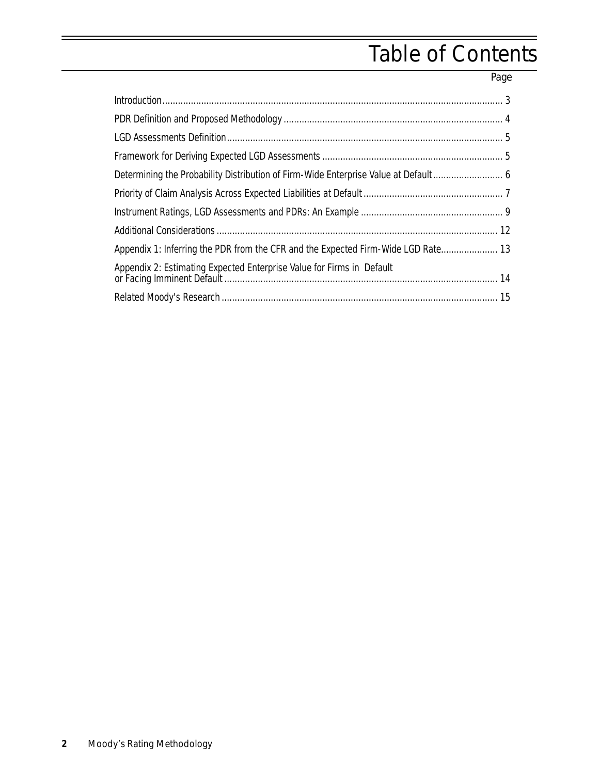# Table of Contents

Page

| Appendix 1: Inferring the PDR from the CFR and the Expected Firm-Wide LGD Rate 13 |  |
|-----------------------------------------------------------------------------------|--|
| Appendix 2: Estimating Expected Enterprise Value for Firms in Default             |  |
|                                                                                   |  |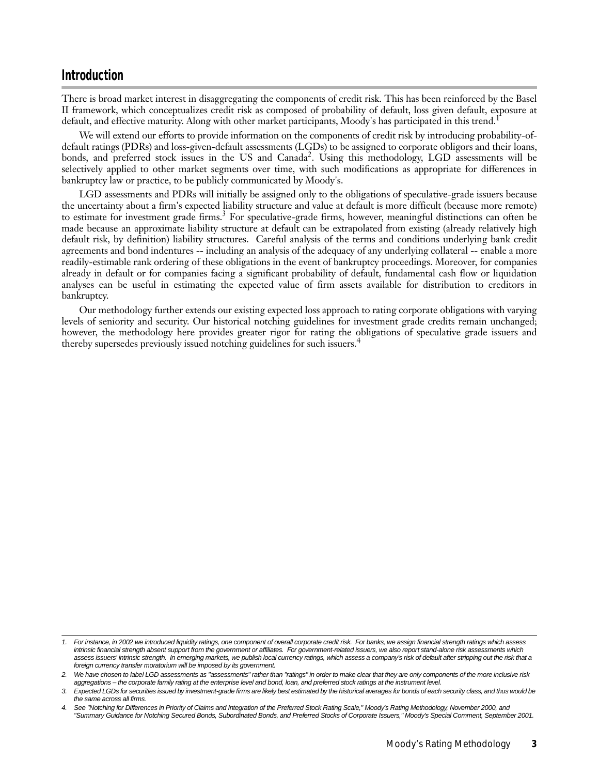#### <span id="page-2-0"></span>**Introduction**

There is broad market interest in disaggregating the components of credit risk. This has been reinforced by the Basel II framework, which conceptualizes credit risk as composed of probability of default, loss given default, exposure at default, and effective maturity. Along with other market participants, Moody's has participated in this trend.<sup>1</sup>

We will extend our efforts to provide information on the components of credit risk by introducing probability-ofdefault ratings (PDRs) and loss-given-default assessments (LGDs) to be assigned to corporate obligors and their loans, bonds, and preferred stock issues in the US and Canada<sup>2</sup>. Using this methodology, LGD assessments will be selectively applied to other market segments over time, with such modifications as appropriate for differences in bankruptcy law or practice, to be publicly communicated by Moody's.

LGD assessments and PDRs will initially be assigned only to the obligations of speculative-grade issuers because the uncertainty about a firm's expected liability structure and value at default is more difficult (because more remote) to estimate for investment grade firms.<sup>3</sup> For speculative-grade firms, however, meaningful distinctions can often be made because an approximate liability structure at default can be extrapolated from existing (already relatively high default risk, by definition) liability structures. Careful analysis of the terms and conditions underlying bank credit agreements and bond indentures -- including an analysis of the adequacy of any underlying collateral -- enable a more readily-estimable rank ordering of these obligations in the event of bankruptcy proceedings. Moreover, for companies already in default or for companies facing a significant probability of default, fundamental cash flow or liquidation analyses can be useful in estimating the expected value of firm assets available for distribution to creditors in bankruptcy.

Our methodology further extends our existing expected loss approach to rating corporate obligations with varying levels of seniority and security. Our historical notching guidelines for investment grade credits remain unchanged; however, the methodology here provides greater rigor for rating the obligations of speculative grade issuers and thereby supersedes previously issued notching guidelines for such issuers.<sup>4</sup>

<sup>1.</sup> For instance, in 2002 we introduced liquidity ratings, one component of overall corporate credit risk. For banks, we assign financial strength ratings which assess intrinsic financial strength absent support from the government or affiliates. For government-related issuers, we also report stand-alone risk assessments which assess issuers' intrinsic strength. In emerging markets, we publish local currency ratings, which assess a company's risk of default after stripping out the risk that a foreign currency transfer moratorium will be imposed by its government.

<sup>2.</sup> We have chosen to label LGD assessments as "assessments" rather than "ratings" in order to make clear that they are only components of the more inclusive risk aggregations – the corporate family rating at the enterprise level and bond, loan, and preferred stock ratings at the instrument level.

<sup>3.</sup> Expected LGDs for securities issued by investment-grade firms are likely best estimated by the historical averages for bonds of each security class, and thus would be the same across all firms.

See "Notching for Differences in Priority of Claims and Integration of the Preferred Stock Rating Scale," Moody's Rating Methodology, November 2000, and "Summary Guidance for Notching Secured Bonds, Subordinated Bonds, and Preferred Stocks of Corporate Issuers," Moody's Special Comment, September 2001.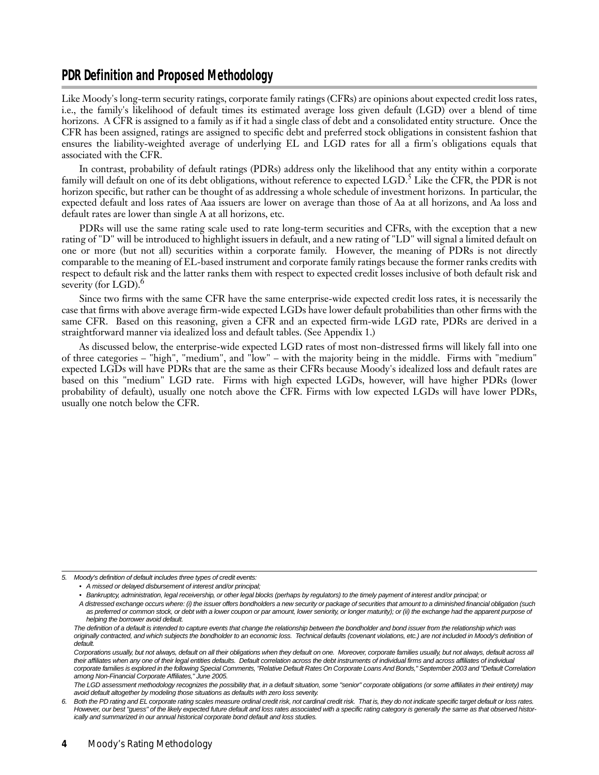### <span id="page-3-0"></span>**PDR Definition and Proposed Methodology**

Like Moody's long-term security ratings, corporate family ratings (CFRs) are opinions about expected credit loss rates, i.e., the family's likelihood of default times its estimated average loss given default (LGD) over a blend of time horizons. A CFR is assigned to a family as if it had a single class of debt and a consolidated entity structure. Once the CFR has been assigned, ratings are assigned to specific debt and preferred stock obligations in consistent fashion that ensures the liability-weighted average of underlying EL and LGD rates for all a firm's obligations equals that associated with the CFR.

In contrast, probability of default ratings (PDRs) address only the likelihood that any entity within a corporate family will default on one of its debt obligations, without reference to expected LGD.<sup>5</sup> Like the CFR, the PDR is not horizon specific, but rather can be thought of as addressing a whole schedule of investment horizons. In particular, the expected default and loss rates of Aaa issuers are lower on average than those of Aa at all horizons, and Aa loss and default rates are lower than single A at all horizons, etc.

PDRs will use the same rating scale used to rate long-term securities and CFRs, with the exception that a new rating of "D" will be introduced to highlight issuers in default, and a new rating of "LD" will signal a limited default on one or more (but not all) securities within a corporate family. However, the meaning of PDRs is not directly comparable to the meaning of EL-based instrument and corporate family ratings because the former ranks credits with respect to default risk and the latter ranks them with respect to expected credit losses inclusive of both default risk and severity (for LGD).<sup>6</sup>

Since two firms with the same CFR have the same enterprise-wide expected credit loss rates, it is necessarily the case that firms with above average firm-wide expected LGDs have lower default probabilities than other firms with the same CFR. Based on this reasoning, given a CFR and an expected firm-wide LGD rate, PDRs are derived in a straightforward manner via idealized loss and default tables. (See Appendix 1.)

As discussed below, the enterprise-wide expected LGD rates of most non-distressed firms will likely fall into one of three categories – "high", "medium", and "low" – with the majority being in the middle. Firms with "medium" expected LGDs will have PDRs that are the same as their CFRs because Moody's idealized loss and default rates are based on this "medium" LGD rate. Firms with high expected LGDs, however, will have higher PDRs (lower probability of default), usually one notch above the CFR. Firms with low expected LGDs will have lower PDRs, usually one notch below the CFR.

<sup>5.</sup> Moody's definition of default includes three types of credit events:

<sup>•</sup> A missed or delayed disbursement of interest and/or principal;

<sup>•</sup> Bankruptcy, administration, legal receivership, or other legal blocks (perhaps by regulators) to the timely payment of interest and/or principal; or

A distressed exchange occurs where: (i) the issuer offers bondholders a new security or package of securities that amount to a diminished financial obligation (such as preferred or common stock, or debt with a lower coupon or par amount, lower seniority, or longer maturity); or (ii) the exchange had the apparent purpose of helping the borrower avoid default.

The definition of a default is intended to capture events that change the relationship between the bondholder and bond issuer from the relationship which was originally contracted, and which subjects the bondholder to an economic loss. Technical defaults (covenant violations, etc.) are not included in Moody's definition of default.

Corporations usually, but not always, default on all their obligations when they default on one. Moreover, corporate families usually, but not always, default across all their affiliates when any one of their legal entities defaults. Default correlation across the debt instruments of individual firms and across affiliates of individual corporate families is explored in the following Special Comments, "Relative Default Rates On Corporate Loans And Bonds," September 2003 and "Default Correlation among Non-Financial Corporate Affiliates," June 2005.

The LGD assessment methodology recognizes the possibility that, in a default situation, some "senior" corporate obligations (or some affiliates in their entirety) may avoid default altogether by modeling those situations as defaults with zero loss severity.

<sup>6.</sup> Both the PD rating and EL corporate rating scales measure ordinal credit risk, not cardinal credit risk. That is, they do not indicate specific target default or loss rates. However, our best "guess" of the likely expected future default and loss rates associated with a specific rating category is generally the same as that observed historically and summarized in our annual historical corporate bond default and loss studies.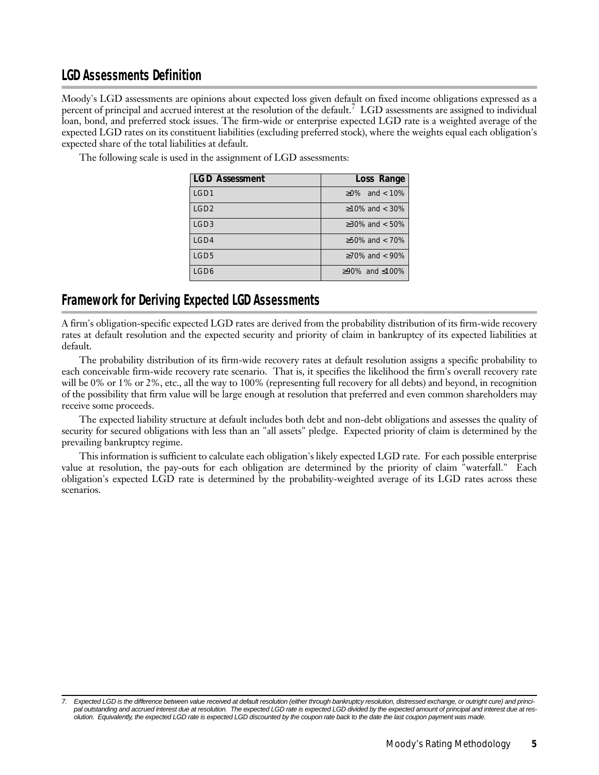## <span id="page-4-0"></span>**LGD Assessments Definition**

Moody's LGD assessments are opinions about expected loss given default on fixed income obligations expressed as a percent of principal and accrued interest at the resolution of the default.7 LGD assessments are assigned to individual loan, bond, and preferred stock issues. The firm-wide or enterprise expected LGD rate is a weighted average of the expected LGD rates on its constituent liabilities (excluding preferred stock), where the weights equal each obligation's expected share of the total liabilities at default.

> LGD3  $\vert$   $\geq$ 30% and < 50% LGD4  $\geq$ 50% and < 70% LGD5  $\vert$  270% and < 90% LGD6 ≥90% and ≤100%

**LGD Assessment Loss Range** LGD1  $\vert$   $\geq$ 0% and < 10% LGD2 ≥10% and < 30%

The following scale is used in the assignment of LGD assessments:

#### **Framework for Deriving Expected LGD Assessments**

A firm's obligation-specific expected LGD rates are derived from the probability distribution of its firm-wide recovery rates at default resolution and the expected security and priority of claim in bankruptcy of its expected liabilities at default.

The probability distribution of its firm-wide recovery rates at default resolution assigns a specific probability to each conceivable firm-wide recovery rate scenario. That is, it specifies the likelihood the firm's overall recovery rate will be 0% or 1% or 2%, etc., all the way to 100% (representing full recovery for all debts) and beyond, in recognition of the possibility that firm value will be large enough at resolution that preferred and even common shareholders may receive some proceeds.

The expected liability structure at default includes both debt and non-debt obligations and assesses the quality of security for secured obligations with less than an "all assets" pledge. Expected priority of claim is determined by the prevailing bankruptcy regime.

This information is sufficient to calculate each obligation's likely expected LGD rate. For each possible enterprise value at resolution, the pay-outs for each obligation are determined by the priority of claim "waterfall." Each obligation's expected LGD rate is determined by the probability-weighted average of its LGD rates across these scenarios.

Expected LGD is the difference between value received at default resolution (either through bankruptcy resolution, distressed exchange, or outright cure) and principal outstanding and accrued interest due at resolution. The expected LGD rate is expected LGD divided by the expected amount of principal and interest due at resolution. Equivalently, the expected LGD rate is expected LGD discounted by the coupon rate back to the date the last coupon payment was made.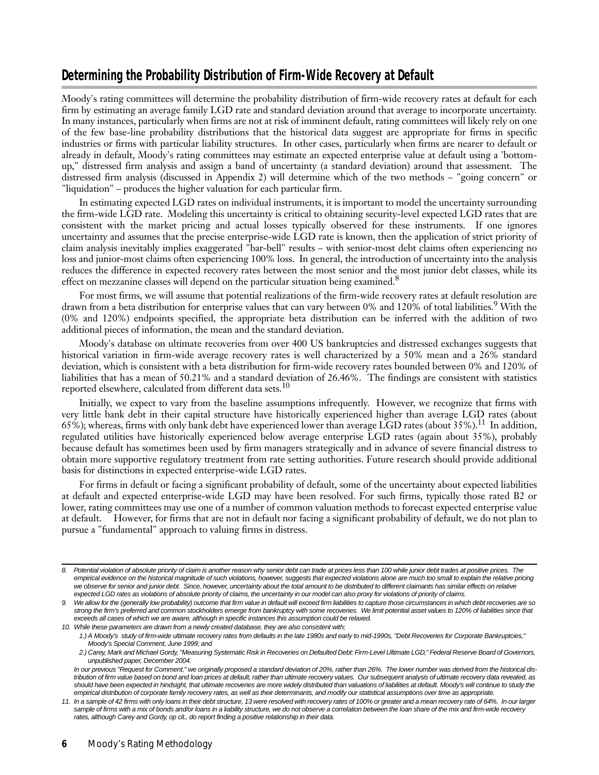## <span id="page-5-0"></span>**Determining the Probability Distribution of Firm-Wide Recovery at Default**

Moody's rating committees will determine the probability distribution of firm-wide recovery rates at default for each firm by estimating an average family LGD rate and standard deviation around that average to incorporate uncertainty. In many instances, particularly when firms are not at risk of imminent default, rating committees will likely rely on one of the few base-line probability distributions that the historical data suggest are appropriate for firms in specific industries or firms with particular liability structures. In other cases, particularly when firms are nearer to default or already in default, Moody's rating committees may estimate an expected enterprise value at default using a 'bottomup," distressed firm analysis and assign a band of uncertainty (a standard deviation) around that assessment. The distressed firm analysis (discussed in Appendix 2) will determine which of the two methods – "going concern" or "liquidation" – produces the higher valuation for each particular firm.

In estimating expected LGD rates on individual instruments, it is important to model the uncertainty surrounding the firm-wide LGD rate. Modeling this uncertainty is critical to obtaining security-level expected LGD rates that are consistent with the market pricing and actual losses typically observed for these instruments. If one ignores uncertainty and assumes that the precise enterprise-wide LGD rate is known, then the application of strict priority of claim analysis inevitably implies exaggerated "bar-bell" results – with senior-most debt claims often experiencing no loss and junior-most claims often experiencing 100% loss. In general, the introduction of uncertainty into the analysis reduces the difference in expected recovery rates between the most senior and the most junior debt classes, while its effect on mezzanine classes will depend on the particular situation being examined.<sup>8</sup>

For most firms, we will assume that potential realizations of the firm-wide recovery rates at default resolution are drawn from a beta distribution for enterprise values that can vary between 0% and 120% of total liabilities.<sup>9</sup> With the (0% and 120%) endpoints specified, the appropriate beta distribution can be inferred with the addition of two additional pieces of information, the mean and the standard deviation.

Moody's database on ultimate recoveries from over 400 US bankruptcies and distressed exchanges suggests that historical variation in firm-wide average recovery rates is well characterized by a 50% mean and a 26% standard deviation, which is consistent with a beta distribution for firm-wide recovery rates bounded between 0% and 120% of liabilities that has a mean of 50.21% and a standard deviation of 26.46%. The findings are consistent with statistics reported elsewhere, calculated from different data sets.<sup>10</sup>

Initially, we expect to vary from the baseline assumptions infrequently. However, we recognize that firms with very little bank debt in their capital structure have historically experienced higher than average LGD rates (about 65%); whereas, firms with only bank debt have experienced lower than average LGD rates (about 35%).<sup>11</sup> In addition, regulated utilities have historically experienced below average enterprise LGD rates (again about 35%), probably because default has sometimes been used by firm managers strategically and in advance of severe financial distress to obtain more supportive regulatory treatment from rate setting authorities. Future research should provide additional basis for distinctions in expected enterprise-wide LGD rates.

For firms in default or facing a significant probability of default, some of the uncertainty about expected liabilities at default and expected enterprise-wide LGD may have been resolved. For such firms, typically those rated B2 or lower, rating committees may use one of a number of common valuation methods to forecast expected enterprise value at default. However, for firms that are not in default nor facing a significant probability of default, we do not plan to pursue a "fundamental" approach to valuing firms in distress.

<sup>8.</sup> Potential violation of absolute priority of claim is another reason why senior debt can trade at prices less than 100 while junior debt trades at positive prices. The empirical evidence on the historical magnitude of such violations, however, suggests that expected violations alone are much too small to explain the relative pricing we observe for senior and junior debt. Since, however, uncertainty about the total amount to be distributed to different claimants has similar effects on relative expected LGD rates as violations of absolute priority of claims, the uncertainty in our model can also proxy for violations of priority of claims.

<sup>9.</sup> We allow for the (generally low probability) outcome that firm value in default will exceed firm liabilities to capture those circumstances in which debt recoveries are so strong the firm's preferred and common stockholders emerge from bankruptcy with some recoveries. We limit potential asset values to 120% of liabilities since that exceeds all cases of which we are aware, although in specific instances this assumption could be relaxed. 10. While these parameters are drawn from a newly created database, they are also consistent with;

<sup>1.)</sup> A Moody's study of firm-wide ultimate recovery rates from defaults in the late 1980s and early to mid-1990s, "Debt Recoveries for Corporate Bankruptcies," Moody's Special Comment, June 1999; and

<sup>2.)</sup> Carey, Mark and Michael Gordy, "Measuring Systematic Risk in Recoveries on Defaulted Debt: Firm-Level Ultimate LGD," Federal Reserve Board of Governors, unpublished paper, December 2004.

In our previous "Request for Comment," we originally proposed a standard deviation of 20%, rather than 26%. The lower number was derived from the historical distribution of firm value based on bond and loan prices at default, rather than ultimate recovery values. Our subsequent analysis of ultimate recovery data revealed, as should have been expected in hindsight, that ultimate recoveries are more widely distributed than valuations of liabilities at default. Moody's will continue to study the empirical distribution of corporate family recovery rates, as well as their determinants, and modify our statistical assumptions over time as appropriate.

<sup>11.</sup> In a sample of 42 firms with only loans in their debt structure, 13 were resolved with recovery rates of 100% or greater and a mean recovery rate of 64%. In our larger sample of firms with a mix of bonds and/or loans in a liability structure, we do not observe a correlation between the loan share of the mix and firm-wide recovery rates, although Carey and Gordy, op cit., do report finding a positive relationship in their data.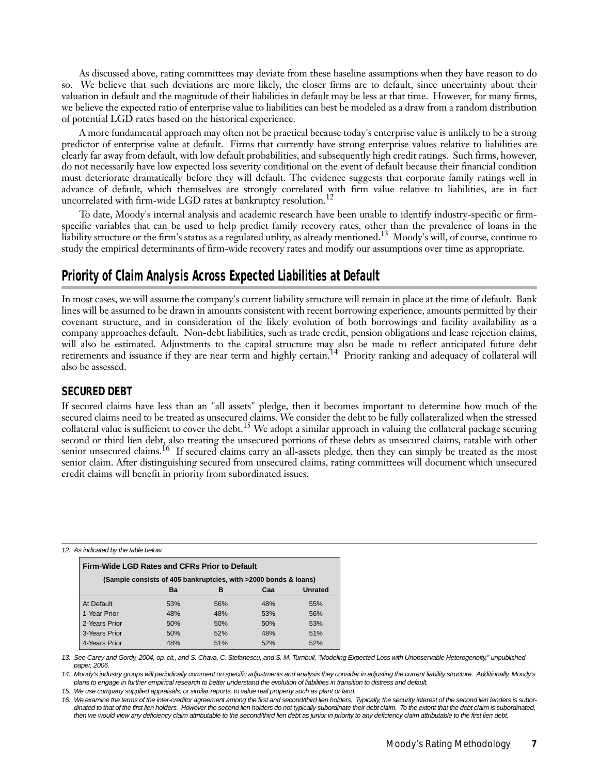<span id="page-6-0"></span>As discussed above, rating committees may deviate from these baseline assumptions when they have reason to do so. We believe that such deviations are more likely, the closer firms are to default, since uncertainty about their valuation in default and the magnitude of their liabilities in default may be less at that time. However, for many firms, we believe the expected ratio of enterprise value to liabilities can best be modeled as a draw from a random distribution of potential LGD rates based on the historical experience.

A more fundamental approach may often not be practical because today's enterprise value is unlikely to be a strong predictor of enterprise value at default. Firms that currently have strong enterprise values relative to liabilities are clearly far away from default, with low default probabilities, and subsequently high credit ratings. Such firms, however, do not necessarily have low expected loss severity conditional on the event of default because their financial condition must deteriorate dramatically before they will default. The evidence suggests that corporate family ratings well in advance of default, which themselves are strongly correlated with firm value relative to liabilities, are in fact uncorrelated with firm-wide LGD rates at bankruptcy resolution.<sup>12</sup>

To date, Moody's internal analysis and academic research have been unable to identify industry-specific or firmspecific variables that can be used to help predict family recovery rates, other than the prevalence of loans in the liability structure or the firm's status as a regulated utility, as already mentioned.13 Moody's will, of course, continue to study the empirical determinants of firm-wide recovery rates and modify our assumptions over time as appropriate.

## **Priority of Claim Analysis Across Expected Liabilities at Default**

In most cases, we will assume the company's current liability structure will remain in place at the time of default. Bank lines will be assumed to be drawn in amounts consistent with recent borrowing experience, amounts permitted by their covenant structure, and in consideration of the likely evolution of both borrowings and facility availability as a company approaches default. Non-debt liabilities, such as trade credit, pension obligations and lease rejection claims, will also be estimated. Adjustments to the capital structure may also be made to reflect anticipated future debt retirements and issuance if they are near term and highly certain.<sup>14</sup> Priority ranking and adequacy of collateral will also be assessed.

#### **SECURED DEBT**

If secured claims have less than an "all assets" pledge, then it becomes important to determine how much of the secured claims need to be treated as unsecured claims. We consider the debt to be fully collateralized when the stressed collateral value is sufficient to cover the debt.<sup>15</sup> We adopt a similar approach in valuing the collateral package securing second or third lien debt, also treating the unsecured portions of these debts as unsecured claims, ratable with other senior unsecured claims.<sup>16</sup> If secured claims carry an all-assets pledge, then they can simply be treated as the most senior claim. After distinguishing secured from unsecured claims, rating committees will document which unsecured credit claims will benefit in priority from subordinated issues.

12. As indicated by the table below.

| Firm-Wide LGD Rates and CFRs Prior to Default                   |     |     |     |         |  |  |
|-----------------------------------------------------------------|-----|-----|-----|---------|--|--|
| (Sample consists of 405 bankruptcies, with >2000 bonds & loans) |     |     |     |         |  |  |
|                                                                 | Ba  | в   | Caa | Unrated |  |  |
| At Default                                                      | 53% | 56% | 48% | 55%     |  |  |
| 1-Year Prior                                                    | 48% | 48% | 53% | 56%     |  |  |
| 2-Years Prior                                                   | 50% | 50% | 50% | 53%     |  |  |
| 3-Years Prior                                                   | 50% | 52% | 48% | 51%     |  |  |
| 4-Years Prior                                                   | 48% | 51% | 52% | 52%     |  |  |

13. See Carey and Gordy, 2004, op. cit., and S. Chava, C. Stefanescu, and S. M. Turnbull, "Modeling Expected Loss with Unobservable Heterogeneity," unpublished paper, 2006.

14. Moody's industry groups will periodically comment on specific adjustments and analysis they consider in adjusting the current liability structure. Additionally, Moody's plans to engage in further empirical research to better understand the evolution of liabilities in transition to distress and default.

15. We use company supplied appraisals, or similar reports, to value real property such as plant or land.

16. We examine the terms of the inter-creditor agreement among the first and second/third lien holders. Typically, the security interest of the second lien lenders is subordinated to that of the first lien holders. However the second lien holders do not typically subordinate their debt claim. To the extent that the debt claim is subordinated, then we would view any deficiency claim attributable to the second/third lien debt as junior in priority to any deficiency claim attributable to the first lien debt.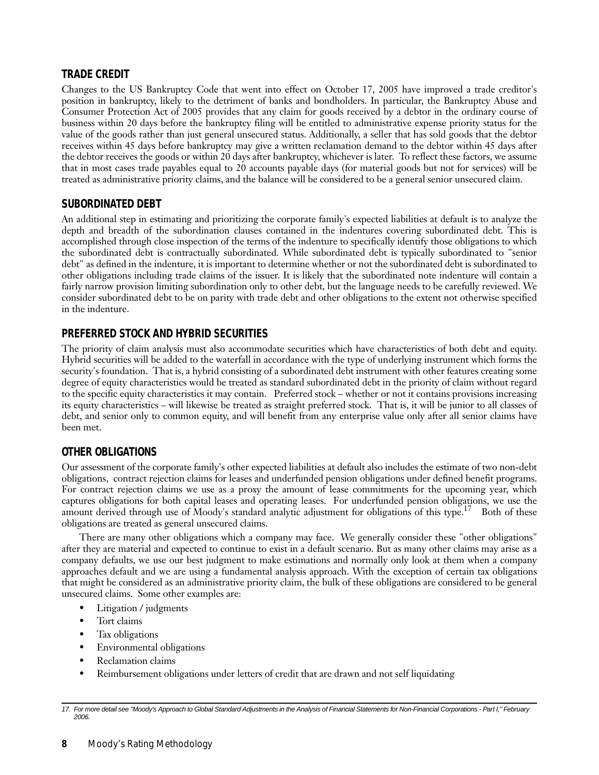#### **TRADE CREDIT**

Changes to the US Bankruptcy Code that went into effect on October 17, 2005 have improved a trade creditor's position in bankruptcy, likely to the detriment of banks and bondholders. In particular, the Bankruptcy Abuse and Consumer Protection Act of 2005 provides that any claim for goods received by a debtor in the ordinary course of business within 20 days before the bankruptcy filing will be entitled to administrative expense priority status for the value of the goods rather than just general unsecured status. Additionally, a seller that has sold goods that the debtor receives within 45 days before bankruptcy may give a written reclamation demand to the debtor within 45 days after the debtor receives the goods or within 20 days after bankruptcy, whichever is later. To reflect these factors, we assume that in most cases trade payables equal to 20 accounts payable days (for material goods but not for services) will be treated as administrative priority claims, and the balance will be considered to be a general senior unsecured claim.

#### **SUBORDINATED DEBT**

An additional step in estimating and prioritizing the corporate family's expected liabilities at default is to analyze the depth and breadth of the subordination clauses contained in the indentures covering subordinated debt. This is accomplished through close inspection of the terms of the indenture to specifically identify those obligations to which the subordinated debt is contractually subordinated. While subordinated debt is typically subordinated to "senior debt" as defined in the indenture, it is important to determine whether or not the subordinated debt is subordinated to other obligations including trade claims of the issuer. It is likely that the subordinated note indenture will contain a fairly narrow provision limiting subordination only to other debt, but the language needs to be carefully reviewed. We consider subordinated debt to be on parity with trade debt and other obligations to the extent not otherwise specified in the indenture.

#### **PREFERRED STOCK AND HYBRID SECURITIES**

The priority of claim analysis must also accommodate securities which have characteristics of both debt and equity. Hybrid securities will be added to the waterfall in accordance with the type of underlying instrument which forms the security's foundation. That is, a hybrid consisting of a subordinated debt instrument with other features creating some degree of equity characteristics would be treated as standard subordinated debt in the priority of claim without regard to the specific equity characteristics it may contain. Preferred stock – whether or not it contains provisions increasing its equity characteristics – will likewise be treated as straight preferred stock. That is, it will be junior to all classes of debt, and senior only to common equity, and will benefit from any enterprise value only after all senior claims have been met.

#### **OTHER OBLIGATIONS**

Our assessment of the corporate family's other expected liabilities at default also includes the estimate of two non-debt obligations, contract rejection claims for leases and underfunded pension obligations under defined benefit programs. For contract rejection claims we use as a proxy the amount of lease commitments for the upcoming year, which captures obligations for both capital leases and operating leases. For underfunded pension obligations, we use the amount derived through use of Moody's standard analytic adjustment for obligations of this type.<sup>17</sup> Both of these obligations are treated as general unsecured claims.

There are many other obligations which a company may face. We generally consider these "other obligations" after they are material and expected to continue to exist in a default scenario. But as many other claims may arise as a company defaults, we use our best judgment to make estimations and normally only look at them when a company approaches default and we are using a fundamental analysis approach. With the exception of certain tax obligations that might be considered as an administrative priority claim, the bulk of these obligations are considered to be general unsecured claims. Some other examples are:

- Litigation / judgments
- Tort claims
- Tax obligations
- Environmental obligations
- Reclamation claims
- Reimbursement obligations under letters of credit that are drawn and not self liquidating

<sup>17.</sup> For more detail see "Moody's Approach to Global Standard Adjustments in the Analysis of Financial Statements for Non-Financial Corporations - Part I," February 2006.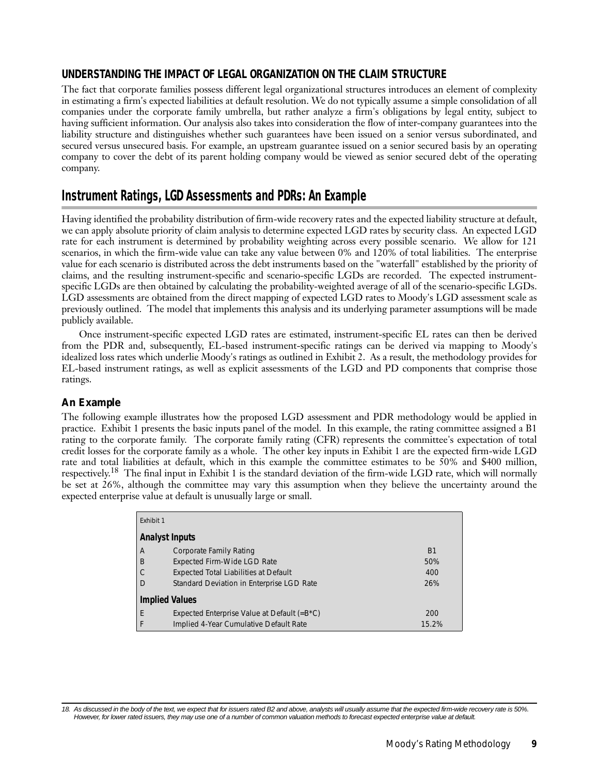#### <span id="page-8-0"></span>**UNDERSTANDING THE IMPACT OF LEGAL ORGANIZATION ON THE CLAIM STRUCTURE**

The fact that corporate families possess different legal organizational structures introduces an element of complexity in estimating a firm's expected liabilities at default resolution. We do not typically assume a simple consolidation of all companies under the corporate family umbrella, but rather analyze a firm's obligations by legal entity, subject to having sufficient information. Our analysis also takes into consideration the flow of inter-company guarantees into the liability structure and distinguishes whether such guarantees have been issued on a senior versus subordinated, and secured versus unsecured basis. For example, an upstream guarantee issued on a senior secured basis by an operating company to cover the debt of its parent holding company would be viewed as senior secured debt of the operating company.

## **Instrument Ratings, LGD Assessments and PDRs: An Example**

Having identified the probability distribution of firm-wide recovery rates and the expected liability structure at default, we can apply absolute priority of claim analysis to determine expected LGD rates by security class. An expected LGD rate for each instrument is determined by probability weighting across every possible scenario. We allow for 121 scenarios, in which the firm-wide value can take any value between 0% and 120% of total liabilities. The enterprise value for each scenario is distributed across the debt instruments based on the "waterfall" established by the priority of claims, and the resulting instrument-specific and scenario-specific LGDs are recorded. The expected instrumentspecific LGDs are then obtained by calculating the probability-weighted average of all of the scenario-specific LGDs. LGD assessments are obtained from the direct mapping of expected LGD rates to Moody's LGD assessment scale as previously outlined. The model that implements this analysis and its underlying parameter assumptions will be made publicly available.

Once instrument-specific expected LGD rates are estimated, instrument-specific EL rates can then be derived from the PDR and, subsequently, EL-based instrument-specific ratings can be derived via mapping to Moody's idealized loss rates which underlie Moody's ratings as outlined in Exhibit 2. As a result, the methodology provides for EL-based instrument ratings, as well as explicit assessments of the LGD and PD components that comprise those ratings.

#### *An Example*

The following example illustrates how the proposed LGD assessment and PDR methodology would be applied in practice. Exhibit 1 presents the basic inputs panel of the model. In this example, the rating committee assigned a B1 rating to the corporate family. The corporate family rating (CFR) represents the committee's expectation of total credit losses for the corporate family as a whole. The other key inputs in Exhibit 1 are the expected firm-wide LGD rate and total liabilities at default, which in this example the committee estimates to be 50% and \$400 million, respectively.<sup>18</sup> The final input in Exhibit 1 is the standard deviation of the firm-wide LGD rate, which will normally be set at 26%, although the committee may vary this assumption when they believe the uncertainty around the expected enterprise value at default is unusually large or small.

| <b>Fxhibit 1</b> |                                                 |           |
|------------------|-------------------------------------------------|-----------|
|                  | <b>Analyst Inputs</b>                           |           |
| A                | Corporate Family Rating                         | <b>B1</b> |
| B                | <b>Expected Firm-Wide LGD Rate</b>              | 50%       |
| C                | <b>Expected Total Liabilities at Default</b>    | 400       |
| D                | Standard Deviation in Enterprise LGD Rate       | 26%       |
|                  | <b>Implied Values</b>                           |           |
| E                | Expected Enterprise Value at Default (= $B*C$ ) | 200       |
| F                | Implied 4-Year Cumulative Default Rate          | 15.2%     |

18. As discussed in the body of the text, we expect that for issuers rated B2 and above, analysts will usually assume that the expected firm-wide recovery rate is 50%. However, for lower rated issuers, they may use one of a number of common valuation methods to forecast expected enterprise value at default.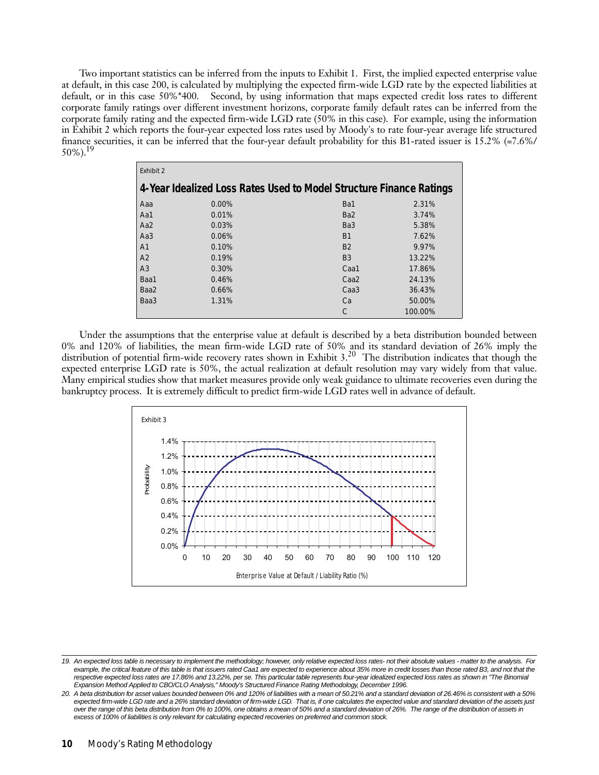Two important statistics can be inferred from the inputs to Exhibit 1. First, the implied expected enterprise value at default, in this case 200, is calculated by multiplying the expected firm-wide LGD rate by the expected liabilities at default, or in this case 50%\*400. Second, by using information that maps expected credit loss rates to different corporate family ratings over different investment horizons, corporate family default rates can be inferred from the corporate family rating and the expected firm-wide LGD rate (50% in this case). For example, using the information in Exhibit 2 which reports the four-year expected loss rates used by Moody's to rate four-year average life structured finance securities, it can be inferred that the four-year default probability for this B1-rated issuer is 15.2% (=7.6%/  $50\%$ ).<sup>19</sup>

| Exhibit 2       |       |                                                                     |         |
|-----------------|-------|---------------------------------------------------------------------|---------|
|                 |       | 4-Year Idealized Loss Rates Used to Model Structure Finance Ratings |         |
| Aaa             | 0.00% | Ba1                                                                 | 2.31%   |
| Aa1             | 0.01% | Ba <sub>2</sub>                                                     | 3.74%   |
| Aa2             | 0.03% | Ba <sub>3</sub>                                                     | 5.38%   |
| Aa <sub>3</sub> | 0.06% | B <sub>1</sub>                                                      | 7.62%   |
| A <sub>1</sub>  | 0.10% | <b>B2</b>                                                           | 9.97%   |
| A <sub>2</sub>  | 0.19% | B <sub>3</sub>                                                      | 13.22%  |
| A <sub>3</sub>  | 0.30% | Caa1                                                                | 17.86%  |
| Baa1            | 0.46% | Caa <sub>2</sub>                                                    | 24.13%  |
| Baa2            | 0.66% | Caa <sub>3</sub>                                                    | 36.43%  |
| Baa3            | 1.31% | Ca                                                                  | 50.00%  |
|                 |       |                                                                     | 100.00% |

Under the assumptions that the enterprise value at default is described by a beta distribution bounded between 0% and 120% of liabilities, the mean firm-wide LGD rate of 50% and its standard deviation of 26% imply the distribution of potential firm-wide recovery rates shown in Exhibit  $3<sup>20</sup>$  The distribution indicates that though the expected enterprise LGD rate is 50%, the actual realization at default resolution may vary widely from that value. Many empirical studies show that market measures provide only weak guidance to ultimate recoveries even during the bankruptcy process. It is extremely difficult to predict firm-wide LGD rates well in advance of default.



<sup>19.</sup> An expected loss table is necessary to implement the methodology; however, only relative expected loss rates- not their absolute values - matter to the analysis. For example, the critical feature of this table is that issuers rated Caa1 are expected to experience about 35% more in credit losses than those rated B3, and not that the respective expected loss rates are 17.86% and 13.22%, per se. This particular table represents four-year idealized expected loss rates as shown in "The Binomial Expansion Method Applied to CBO/CLO Analysis," Moody's Structured Finance Rating Methodology, December 1996.

<sup>20.</sup> A beta distribution for asset values bounded between 0% and 120% of liabilities with a mean of 50.21% and a standard deviation of 26.46% is consistent with a 50% expected firm-wide LGD rate and a 26% standard deviation of firm-wide LGD. That is, if one calculates the expected value and standard deviation of the assets just over the range of this beta distribution from 0% to 100%, one obtains a mean of 50% and a standard deviation of 26%. The range of the distribution of assets in excess of 100% of liabilities is only relevant for calculating expected recoveries on preferred and common stock.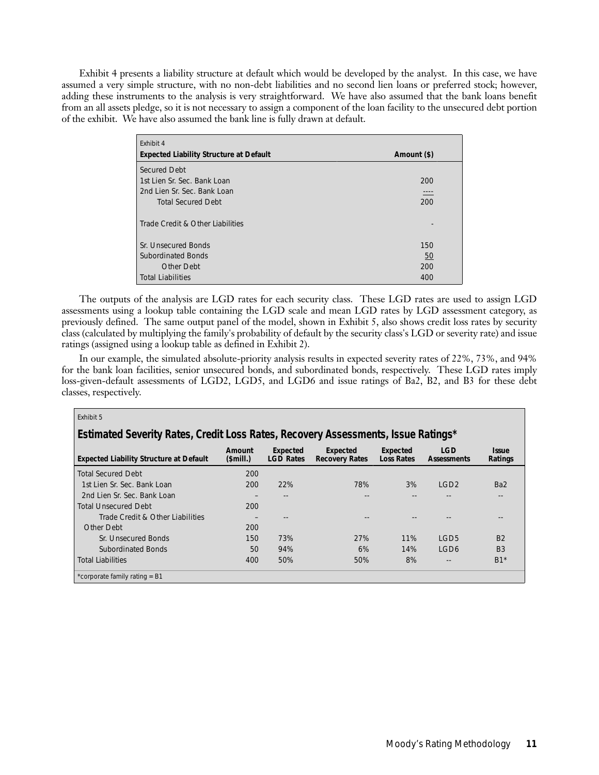Exhibit 4 presents a liability structure at default which would be developed by the analyst. In this case, we have assumed a very simple structure, with no non-debt liabilities and no second lien loans or preferred stock; however, adding these instruments to the analysis is very straightforward. We have also assumed that the bank loans benefit from an all assets pledge, so it is not necessary to assign a component of the loan facility to the unsecured debt portion of the exhibit. We have also assumed the bank line is fully drawn at default.

| Exhibit 4<br><b>Expected Liability Structure at Default</b> | Amount (\$) |
|-------------------------------------------------------------|-------------|
| Secured Debt                                                |             |
| 1st Lien Sr. Sec. Bank Loan                                 | 200         |
| 2nd Lien Sr. Sec. Bank Loan                                 | ----        |
| <b>Total Secured Debt</b>                                   | 200         |
| Trade Credit & Other Liabilities                            |             |
| Sr. Unsecured Bonds                                         | 150         |
| <b>Subordinated Bonds</b>                                   | <u>50</u>   |
| Other Debt                                                  | 200         |
| <b>Total Liabilities</b>                                    | 400         |

The outputs of the analysis are LGD rates for each security class. These LGD rates are used to assign LGD assessments using a lookup table containing the LGD scale and mean LGD rates by LGD assessment category, as previously defined. The same output panel of the model, shown in Exhibit 5, also shows credit loss rates by security class (calculated by multiplying the family's probability of default by the security class's LGD or severity rate) and issue ratings (assigned using a lookup table as defined in Exhibit 2).

In our example, the simulated absolute-priority analysis results in expected severity rates of 22%, 73%, and 94% for the bank loan facilities, senior unsecured bonds, and subordinated bonds, respectively. These LGD rates imply loss-given-default assessments of LGD2, LGD5, and LGD6 and issue ratings of Ba2, B2, and B3 for these debt classes, respectively.

| Exhibit 5                                                                         |                      |                              |                                   |                               |                                  |                                |
|-----------------------------------------------------------------------------------|----------------------|------------------------------|-----------------------------------|-------------------------------|----------------------------------|--------------------------------|
| Estimated Severity Rates, Credit Loss Rates, Recovery Assessments, Issue Ratings* |                      |                              |                                   |                               |                                  |                                |
| <b>Expected Liability Structure at Default</b>                                    | Amount<br>$$$ mill.) | Expected<br><b>LGD Rates</b> | Expected<br><b>Recovery Rates</b> | Expected<br><b>Loss Rates</b> | <b>LGD</b><br><b>Assessments</b> | <i><b>Issue</b></i><br>Ratings |
| <b>Total Secured Debt</b>                                                         | 200                  |                              |                                   |                               |                                  |                                |
| 1st Lien Sr. Sec. Bank Loan                                                       | 200                  | 22%                          | 78%                               | 3%                            | LGD2                             | Ba <sub>2</sub>                |
| 2nd Lien Sr. Sec. Bank Loan                                                       |                      | --                           |                                   |                               |                                  |                                |
| <b>Total Unsecured Debt</b>                                                       | 200                  |                              |                                   |                               |                                  |                                |
| Trade Credit & Other Liabilities                                                  |                      | --                           |                                   |                               | $- -$                            | $- -$                          |
| Other Debt                                                                        | 200                  |                              |                                   |                               |                                  |                                |
| Sr. Unsecured Bonds                                                               | 150                  | 73%                          | 27%                               | 11%                           | LGD <sub>5</sub>                 | B <sub>2</sub>                 |
| <b>Subordinated Bonds</b>                                                         | 50                   | 94%                          | 6%                                | 14%                           | LGD <sub>6</sub>                 | B <sub>3</sub>                 |
| <b>Total Liabilities</b>                                                          | 400                  | 50%                          | 50%                               | 8%                            | $- -$                            | $B1*$                          |
| *corporate family rating = B1                                                     |                      |                              |                                   |                               |                                  |                                |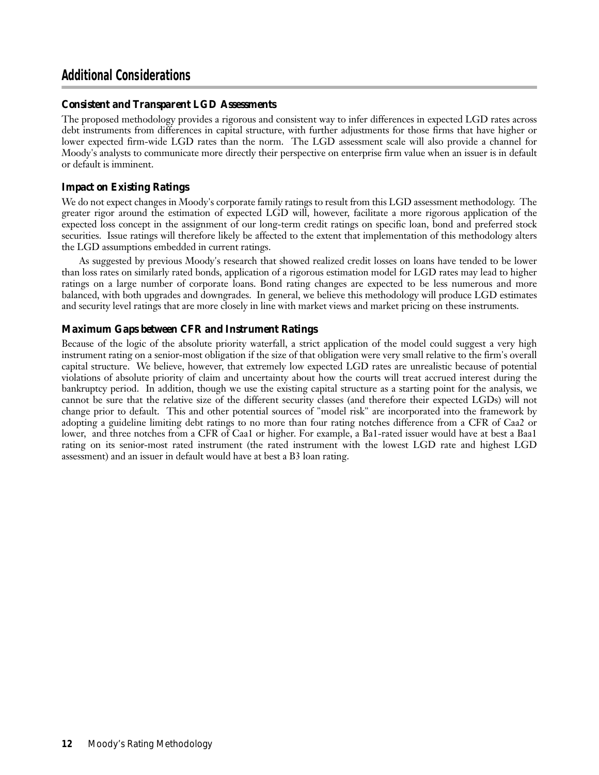## <span id="page-11-0"></span>**Additional Considerations**

#### *Consistent and Transparent LGD Assessments*

The proposed methodology provides a rigorous and consistent way to infer differences in expected LGD rates across debt instruments from differences in capital structure, with further adjustments for those firms that have higher or lower expected firm-wide LGD rates than the norm. The LGD assessment scale will also provide a channel for Moody's analysts to communicate more directly their perspective on enterprise firm value when an issuer is in default or default is imminent.

#### *Impact on Existing Ratings*

We do not expect changes in Moody's corporate family ratings to result from this LGD assessment methodology. The greater rigor around the estimation of expected LGD will, however, facilitate a more rigorous application of the expected loss concept in the assignment of our long-term credit ratings on specific loan, bond and preferred stock securities. Issue ratings will therefore likely be affected to the extent that implementation of this methodology alters the LGD assumptions embedded in current ratings.

As suggested by previous Moody's research that showed realized credit losses on loans have tended to be lower than loss rates on similarly rated bonds, application of a rigorous estimation model for LGD rates may lead to higher ratings on a large number of corporate loans. Bond rating changes are expected to be less numerous and more balanced, with both upgrades and downgrades. In general, we believe this methodology will produce LGD estimates and security level ratings that are more closely in line with market views and market pricing on these instruments.

#### *Maximum Gaps between CFR and Instrument Ratings*

Because of the logic of the absolute priority waterfall, a strict application of the model could suggest a very high instrument rating on a senior-most obligation if the size of that obligation were very small relative to the firm's overall capital structure. We believe, however, that extremely low expected LGD rates are unrealistic because of potential violations of absolute priority of claim and uncertainty about how the courts will treat accrued interest during the bankruptcy period. In addition, though we use the existing capital structure as a starting point for the analysis, we cannot be sure that the relative size of the different security classes (and therefore their expected LGDs) will not change prior to default. This and other potential sources of "model risk" are incorporated into the framework by adopting a guideline limiting debt ratings to no more than four rating notches difference from a CFR of Caa2 or lower, and three notches from a CFR of Caa1 or higher. For example, a Ba1-rated issuer would have at best a Baa1 rating on its senior-most rated instrument (the rated instrument with the lowest LGD rate and highest LGD assessment) and an issuer in default would have at best a B3 loan rating.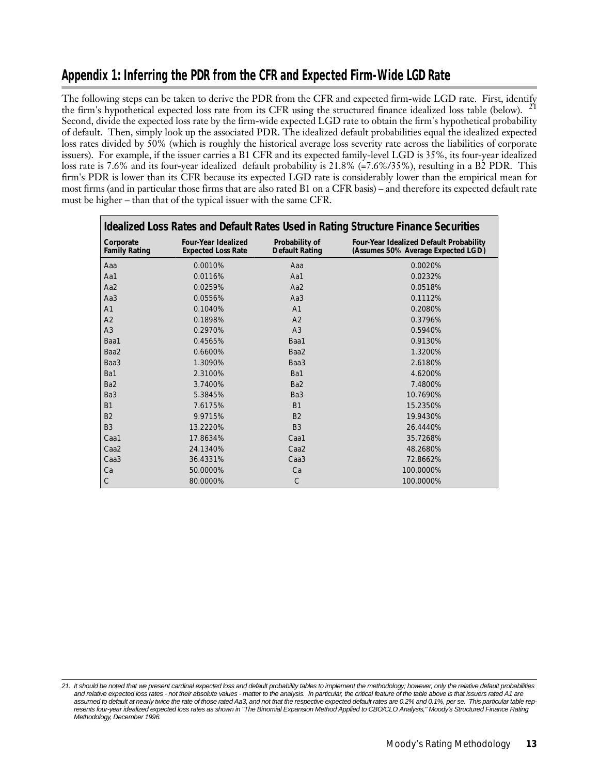## <span id="page-12-0"></span>**Appendix 1: Inferring the PDR from the CFR and Expected Firm-Wide LGD Rate**

The following steps can be taken to derive the PDR from the CFR and expected firm-wide LGD rate. First, identify the firm's hypothetical expected loss rate from its CFR using the structured finance idealized loss table (below).<sup>21</sup> Second, divide the expected loss rate by the firm-wide expected LGD rate to obtain the firm's hypothetical probability of default. Then, simply look up the associated PDR. The idealized default probabilities equal the idealized expected loss rates divided by 50% (which is roughly the historical average loss severity rate across the liabilities of corporate issuers). For example, if the issuer carries a B1 CFR and its expected family-level LGD is 35%, its four-year idealized loss rate is 7.6% and its four-year idealized default probability is 21.8% (=7.6%/35%), resulting in a B2 PDR. This firm's PDR is lower than its CFR because its expected LGD rate is considerably lower than the empirical mean for most firms (and in particular those firms that are also rated B1 on a CFR basis) – and therefore its expected default rate must be higher – than that of the typical issuer with the same CFR.

| Idealized Loss Rates and Default Rates Used in Rating Structure Finance Securities |                                                         |                                         |                                                                               |  |
|------------------------------------------------------------------------------------|---------------------------------------------------------|-----------------------------------------|-------------------------------------------------------------------------------|--|
| Corporate<br><b>Family Rating</b>                                                  | <b>Four-Year Idealized</b><br><b>Expected Loss Rate</b> | Probability of<br><b>Default Rating</b> | Four-Year Idealized Default Probability<br>(Assumes 50% Average Expected LGD) |  |
| Aaa                                                                                | 0.0010%                                                 | Aaa                                     | 0.0020%                                                                       |  |
| Aa1                                                                                | 0.0116%                                                 | Aa1                                     | 0.0232%                                                                       |  |
| Aa2                                                                                | 0.0259%                                                 | Aa2                                     | 0.0518%                                                                       |  |
| Aa3                                                                                | 0.0556%                                                 | Aa <sub>3</sub>                         | 0.1112%                                                                       |  |
| A <sub>1</sub>                                                                     | 0.1040%                                                 | A <sub>1</sub>                          | 0.2080%                                                                       |  |
| A2                                                                                 | 0.1898%                                                 | A <sub>2</sub>                          | 0.3796%                                                                       |  |
| A <sub>3</sub>                                                                     | 0.2970%                                                 | A <sub>3</sub>                          | 0.5940%                                                                       |  |
| Baa1                                                                               | 0.4565%                                                 | Baa1                                    | 0.9130%                                                                       |  |
| Baa2                                                                               | 0.6600%                                                 | Baa2                                    | 1.3200%                                                                       |  |
| Baa3                                                                               | 1.3090%                                                 | Baa3                                    | 2.6180%                                                                       |  |
| Ba1                                                                                | 2.3100%                                                 | Ba1                                     | 4.6200%                                                                       |  |
| Ba <sub>2</sub>                                                                    | 3.7400%                                                 | Ba <sub>2</sub>                         | 7.4800%                                                                       |  |
| Ba <sub>3</sub>                                                                    | 5.3845%                                                 | Ba <sub>3</sub>                         | 10.7690%                                                                      |  |
| <b>B1</b>                                                                          | 7.6175%                                                 | <b>B1</b>                               | 15.2350%                                                                      |  |
| B <sub>2</sub>                                                                     | 9.9715%                                                 | <b>B2</b>                               | 19.9430%                                                                      |  |
| B <sub>3</sub>                                                                     | 13.2220%                                                | B <sub>3</sub>                          | 26.4440%                                                                      |  |
| Caa1                                                                               | 17.8634%                                                | Caa1                                    | 35.7268%                                                                      |  |
| Caa <sub>2</sub>                                                                   | 24.1340%                                                | Caa <sub>2</sub>                        | 48.2680%                                                                      |  |
| Caa <sub>3</sub>                                                                   | 36.4331%                                                | Caa <sub>3</sub>                        | 72.8662%                                                                      |  |
| Ca                                                                                 | 50.0000%                                                | Ca                                      | 100.0000%                                                                     |  |
| C                                                                                  | 80.0000%                                                | $\mathcal{C}$                           | 100.0000%                                                                     |  |

<sup>21.</sup> It should be noted that we present cardinal expected loss and default probability tables to implement the methodology; however, only the relative default probabilities and relative expected loss rates - not their absolute values - matter to the analysis. In particular, the critical feature of the table above is that issuers rated A1 are assumed to default at nearly twice the rate of those rated Aa3, and not that the respective expected default rates are 0.2% and 0.1%, per se. This particular table represents four-year idealized expected loss rates as shown in "The Binomial Expansion Method Applied to CBO/CLO Analysis," Moody's Structured Finance Rating Methodology, December 1996.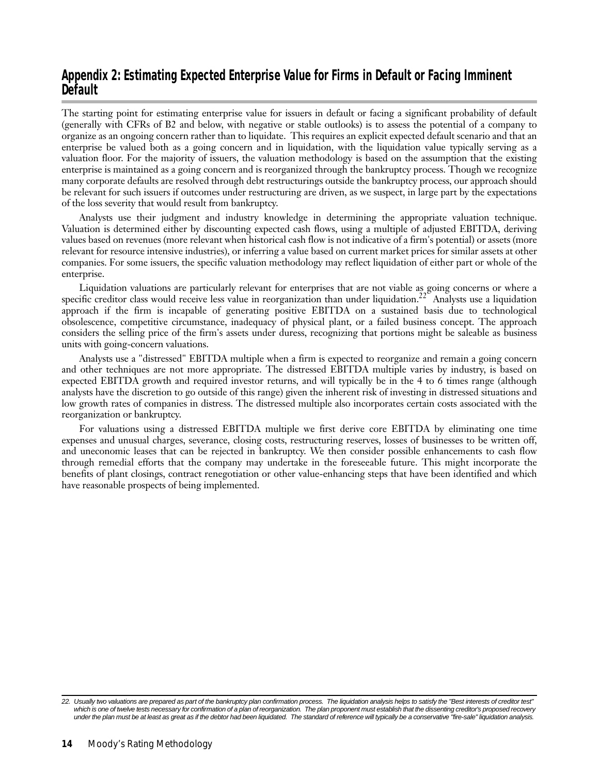## <span id="page-13-0"></span>**Appendix 2: Estimating Expected Enterprise Value for Firms in Default or Facing Imminent Default**

The starting point for estimating enterprise value for issuers in default or facing a significant probability of default (generally with CFRs of B2 and below, with negative or stable outlooks) is to assess the potential of a company to organize as an ongoing concern rather than to liquidate. This requires an explicit expected default scenario and that an enterprise be valued both as a going concern and in liquidation, with the liquidation value typically serving as a valuation floor. For the majority of issuers, the valuation methodology is based on the assumption that the existing enterprise is maintained as a going concern and is reorganized through the bankruptcy process. Though we recognize many corporate defaults are resolved through debt restructurings outside the bankruptcy process, our approach should be relevant for such issuers if outcomes under restructuring are driven, as we suspect, in large part by the expectations of the loss severity that would result from bankruptcy.

Analysts use their judgment and industry knowledge in determining the appropriate valuation technique. Valuation is determined either by discounting expected cash flows, using a multiple of adjusted EBITDA, deriving values based on revenues (more relevant when historical cash flow is not indicative of a firm's potential) or assets (more relevant for resource intensive industries), or inferring a value based on current market prices for similar assets at other companies. For some issuers, the specific valuation methodology may reflect liquidation of either part or whole of the enterprise.

Liquidation valuations are particularly relevant for enterprises that are not viable as going concerns or where a specific creditor class would receive less value in reorganization than under liquidation.<sup>22</sup> Analysts use a liquidation approach if the firm is incapable of generating positive EBITDA on a sustained basis due to technological obsolescence, competitive circumstance, inadequacy of physical plant, or a failed business concept. The approach considers the selling price of the firm's assets under duress, recognizing that portions might be saleable as business units with going-concern valuations.

Analysts use a "distressed" EBITDA multiple when a firm is expected to reorganize and remain a going concern and other techniques are not more appropriate. The distressed EBITDA multiple varies by industry, is based on expected EBITDA growth and required investor returns, and will typically be in the 4 to 6 times range (although analysts have the discretion to go outside of this range) given the inherent risk of investing in distressed situations and low growth rates of companies in distress. The distressed multiple also incorporates certain costs associated with the reorganization or bankruptcy.

For valuations using a distressed EBITDA multiple we first derive core EBITDA by eliminating one time expenses and unusual charges, severance, closing costs, restructuring reserves, losses of businesses to be written off, and uneconomic leases that can be rejected in bankruptcy. We then consider possible enhancements to cash flow through remedial efforts that the company may undertake in the foreseeable future. This might incorporate the benefits of plant closings, contract renegotiation or other value-enhancing steps that have been identified and which have reasonable prospects of being implemented.

<sup>22.</sup> Usually two valuations are prepared as part of the bankruptcy plan confirmation process. The liquidation analysis helps to satisfy the "Best interests of creditor test" which is one of twelve tests necessary for confirmation of a plan of reorganization. The plan proponent must establish that the dissenting creditor's proposed recovery under the plan must be at least as great as if the debtor had been liquidated. The standard of reference will typically be a conservative "fire-sale" liquidation analysis.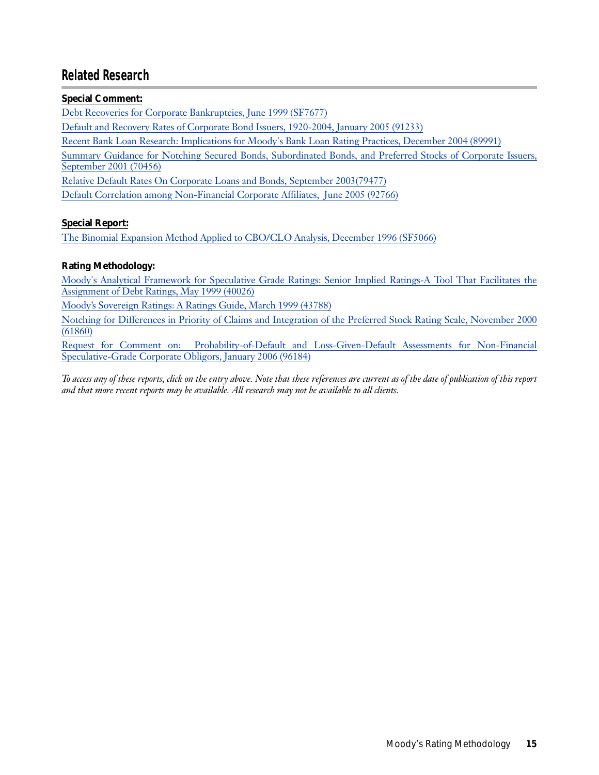## <span id="page-14-0"></span>**Related Research**

#### **Special Comment:**

[Debt Recoveries for Corporate Bankruptcies, June 1999 \(SF7677\)](http://www.moodys.com/cust/getdocumentByNotesDocId.asp?criteria=PBS_SF7677)

[Default and Recovery Rates of Corporate Bond Issuers, 1920-2004, January 2005 \(91233\)](http://www.moodys.com/cust/getdocumentByNotesDocId.asp?criteria=PBC_91233)

[Recent Bank Loan Research: Implications for Moody's Bank Loan Rating Practices, December 2004 \(89991\)](http://www.moodys.com/cust/getdocumentByNotesDocId.asp?criteria=PBC_89991)

[Summary Guidance for Notching Secured Bonds, Subordinated Bonds, and Preferred Stocks of Corporate Issuers,](http://www.moodys.com/cust/getdocumentByNotesDocId.asp?criteria=PBC_70456) September 2001 (70456)

[Relative Default Rates On Corporate Loans and Bonds, September 2003\(79477\)](http://www.moodys.com/cust/getdocumentByNotesDocId.asp?criteria=PBC_79477)

[Default Correlation among Non-Financial Corporate Affiliates, June 2005 \(92766\)](http://www.moodys.com/cust/getdocumentByNotesDocId.asp?criteria=PBC_92766)

#### **Special Report:**

[The Binomial Expansion Method Applied to CBO/CLO Analysis, December 1996 \(SF5066\)](http://www.moodys.com/cust/getdocumentByNotesDocId.asp?criteria=PBS_SF5066)

#### **Rating Methodology:**

[Moody's Analytical Framework for Speculative Grade Ratings: Senior Implied Ratings-A Tool That Facilitates the](http://www.moodys.com/cust/getdocumentByNotesDocId.asp?criteria=PBC_40026) Assignment of Debt Ratings, May 1999 (40026)

[Moody's Sovereign Ratings: A Ratings Guide, March 1999 \(43788\)](http://www.moodys.com/cust/getdocumentByNotesDocId.asp?criteria=PBC_43788)

[Notching for Differences in Priority of Claims and Integration of the Preferred Stock Rating Scale, November 2000](http://www.moodys.com/cust/getdocumentByNotesDocId.asp?criteria=PBC_61860) (61860)

[Request for Comment on: Probability-of-Default and Loss-Given-Default Assessments for Non-Financial](http://www.moodys.com/cust/getdocumentByNotesDocId.asp?criteria=PBC_96184) Speculative-Grade Corporate Obligors, January 2006 (96184)

*To access any of these reports, click on the entry above. Note that these references are current as of the date of publication of this report and that more recent reports may be available. All research may not be available to all clients.*